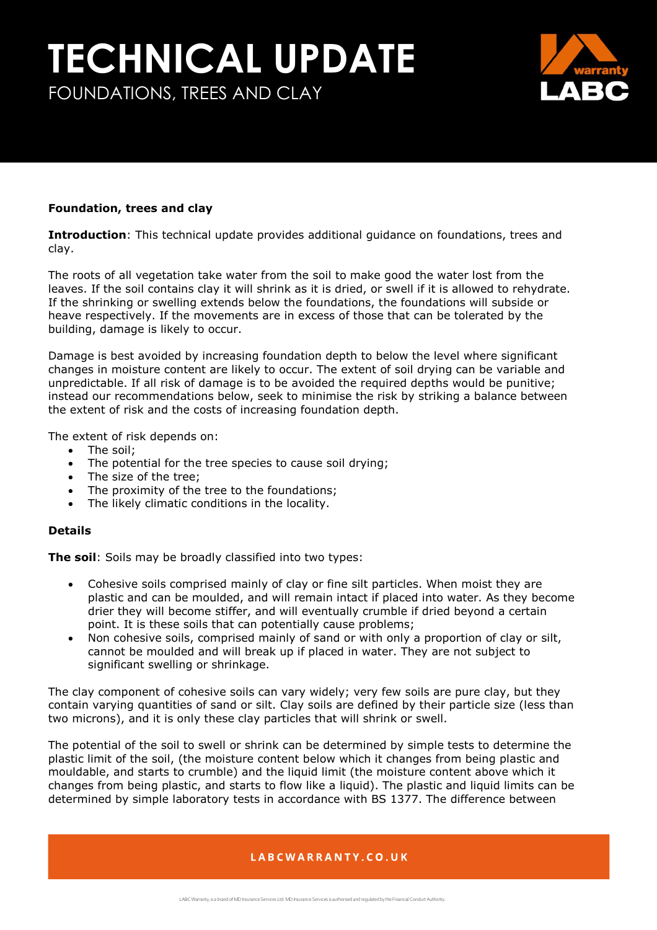# **TECHNICAL UPDATE** FOUNDATIONS, TREES AND CLAY



### **Foundation, trees and clay**

**Introduction**: This technical update provides additional guidance on foundations, trees and clay.

The roots of all vegetation take water from the soil to make good the water lost from the leaves. If the soil contains clay it will shrink as it is dried, or swell if it is allowed to rehydrate. If the shrinking or swelling extends below the foundations, the foundations will subside or heave respectively. If the movements are in excess of those that can be tolerated by the building, damage is likely to occur.

Damage is best avoided by increasing foundation depth to below the level where significant changes in moisture content are likely to occur. The extent of soil drying can be variable and unpredictable. If all risk of damage is to be avoided the required depths would be punitive; instead our recommendations below, seek to minimise the risk by striking a balance between the extent of risk and the costs of increasing foundation depth.

The extent of risk depends on:

- The soil:
- The potential for the tree species to cause soil drying;
- The size of the tree;
- The proximity of the tree to the foundations;
- The likely climatic conditions in the locality.

#### **Details**

**The soil**: Soils may be broadly classified into two types:

- Cohesive soils comprised mainly of clay or fine silt particles. When moist they are plastic and can be moulded, and will remain intact if placed into water. As they become drier they will become stiffer, and will eventually crumble if dried beyond a certain point. It is these soils that can potentially cause problems;
- Non cohesive soils, comprised mainly of sand or with only a proportion of clay or silt, cannot be moulded and will break up if placed in water. They are not subject to significant swelling or shrinkage.

The clay component of cohesive soils can vary widely; very few soils are pure clay, but they contain varying quantities of sand or silt. Clay soils are defined by their particle size (less than two microns), and it is only these clay particles that will shrink or swell.

The potential of the soil to swell or shrink can be determined by simple tests to determine the plastic limit of the soil, (the moisture content below which it changes from being plastic and mouldable, and starts to crumble) and the liquid limit (the moisture content above which it changes from being plastic, and starts to flow like a liquid). The plastic and liquid limits can be determined by simple laboratory tests in accordance with BS 1377. The difference between

## LABCWARRANTY.CO.UK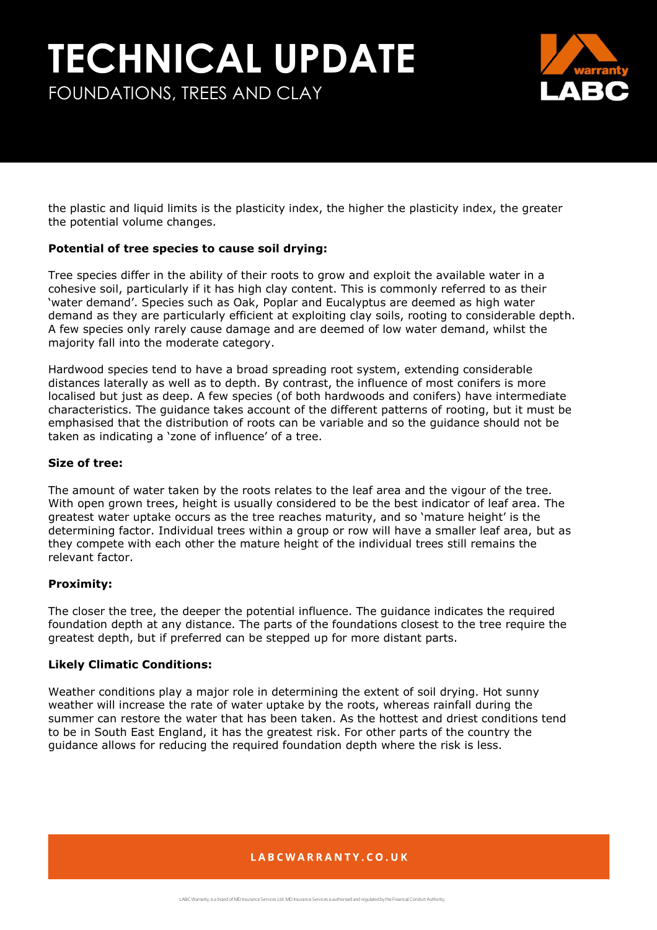# **TECHNICAL UPDATE** FOUNDATIONS, TREES AND CLAY



the plastic and liquid limits is the plasticity index, the higher the plasticity index, the greater the potential volume changes.

## **Potential of tree species to cause soil drying:**

Tree species differ in the ability of their roots to grow and exploit the available water in a cohesive soil, particularly if it has high clay content. This is commonly referred to as their 'water demand'. Species such as Oak, Poplar and Eucalyptus are deemed as high water demand as they are particularly efficient at exploiting clay soils, rooting to considerable depth. A few species only rarely cause damage and are deemed of low water demand, whilst the majority fall into the moderate category.

Hardwood species tend to have a broad spreading root system, extending considerable distances laterally as well as to depth. By contrast, the influence of most conifers is more localised but just as deep. A few species (of both hardwoods and conifers) have intermediate characteristics. The guidance takes account of the different patterns of rooting, but it must be emphasised that the distribution of roots can be variable and so the guidance should not be taken as indicating a 'zone of influence' of a tree.

#### **Size of tree:**

The amount of water taken by the roots relates to the leaf area and the vigour of the tree. With open grown trees, height is usually considered to be the best indicator of leaf area. The greatest water uptake occurs as the tree reaches maturity, and so 'mature height' is the determining factor. Individual trees within a group or row will have a smaller leaf area, but as they compete with each other the mature height of the individual trees still remains the relevant factor.

#### **Proximity:**

The closer the tree, the deeper the potential influence. The guidance indicates the required foundation depth at any distance. The parts of the foundations closest to the tree require the greatest depth, but if preferred can be stepped up for more distant parts.

#### **Likely Climatic Conditions:**

Weather conditions play a major role in determining the extent of soil drying. Hot sunny weather will increase the rate of water uptake by the roots, whereas rainfall during the summer can restore the water that has been taken. As the hottest and driest conditions tend to be in South East England, it has the greatest risk. For other parts of the country the guidance allows for reducing the required foundation depth where the risk is less.

## LABCWARRANTY.CO.UK